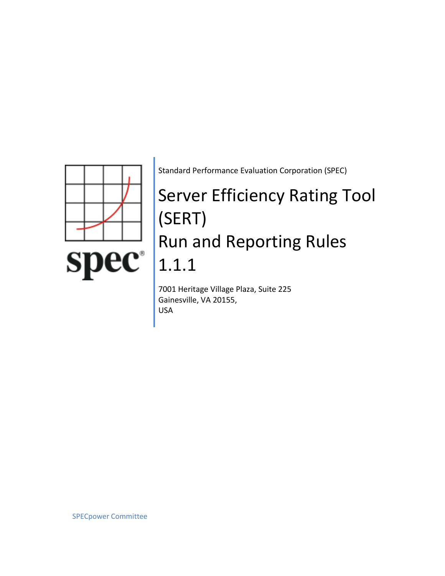

Standard Performance Evaluation Corporation (SPEC)

# Server Efficiency Rating Tool (SERT) Run and Reporting Rules 1.1.1

7001 Heritage Village Plaza, Suite 225 Gainesville, VA 20155, USA

SPECpower Committee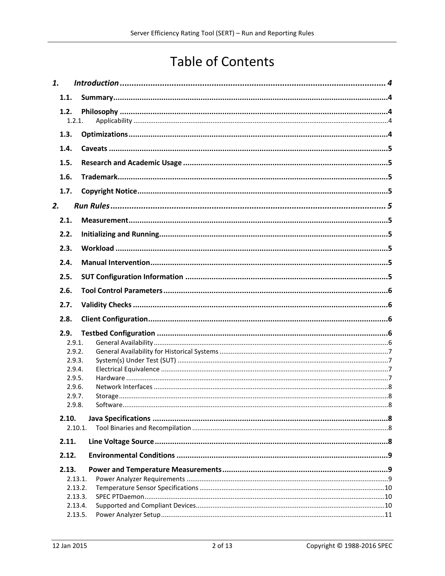# **Table of Contents**

| 1.    |         |  |  |  |
|-------|---------|--|--|--|
| 1.1.  |         |  |  |  |
| 1.2.  | 1.2.1.  |  |  |  |
| 1.3.  |         |  |  |  |
| 1.4.  |         |  |  |  |
| 1.5.  |         |  |  |  |
| 1.6.  |         |  |  |  |
| 1.7.  |         |  |  |  |
| 2.    |         |  |  |  |
| 2.1.  |         |  |  |  |
| 2.2.  |         |  |  |  |
| 2.3.  |         |  |  |  |
| 2.4.  |         |  |  |  |
| 2.5.  |         |  |  |  |
| 2.6.  |         |  |  |  |
|       |         |  |  |  |
| 2.7.  |         |  |  |  |
| 2.8.  |         |  |  |  |
| 2.9.  |         |  |  |  |
|       | 2.9.1.  |  |  |  |
|       | 2.9.2.  |  |  |  |
|       | 2.9.3.  |  |  |  |
|       | 2.9.4.  |  |  |  |
|       | 2.9.5.  |  |  |  |
|       | 2.9.6.  |  |  |  |
|       | 2.9.7.  |  |  |  |
|       | 2.9.8.  |  |  |  |
| 2.10. | 2.10.1. |  |  |  |
| 2.11. |         |  |  |  |
| 2.12. |         |  |  |  |
| 2.13. |         |  |  |  |
|       | 2.13.1. |  |  |  |
|       | 2.13.2. |  |  |  |
|       | 2.13.3. |  |  |  |
|       | 2.13.4. |  |  |  |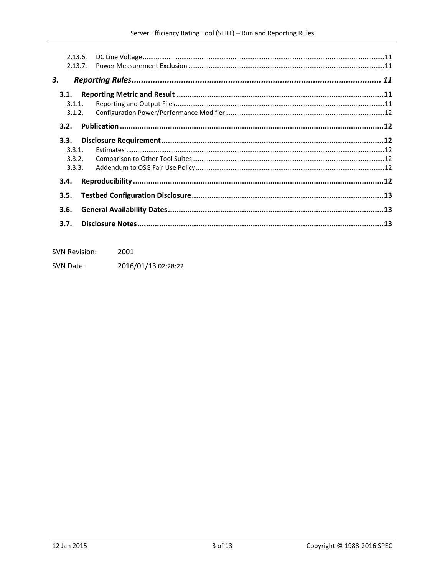|        | 2.13.6.<br>2.13.7. |  |  |
|--------|--------------------|--|--|
| 3.     |                    |  |  |
| 3.1.   |                    |  |  |
| 3.1.1. |                    |  |  |
| 3.1.2. |                    |  |  |
| 3.2.   |                    |  |  |
| 3.3.   |                    |  |  |
| 3.3.1. |                    |  |  |
| 3.3.2. |                    |  |  |
| 3.3.3. |                    |  |  |
| 3.4.   |                    |  |  |
| 3.5.   |                    |  |  |
| 3.6.   |                    |  |  |
| 3.7.   |                    |  |  |

| <b>SVN Revision:</b> | 2001                |
|----------------------|---------------------|
| SVN Date:            | 2016/01/13 02:28:22 |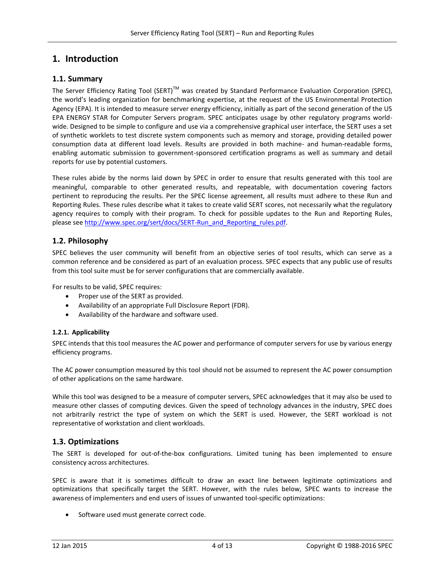# <span id="page-3-0"></span>**1. Introduction**

# <span id="page-3-1"></span>**1.1. Summary**

The Server Efficiency Rating Tool (SERT)<sup>TM</sup> was created by Standard Performance Evaluation Corporation (SPEC), the world's leading organization for benchmarking expertise, at the request of the US Environmental Protection Agency (EPA). It is intended to measure server energy efficiency, initially as part of the second generation of the US EPA ENERGY STAR for Computer Servers program. SPEC anticipates usage by other regulatory programs worldwide. Designed to be simple to configure and use via a comprehensive graphical user interface, the SERT uses a set of synthetic worklets to test discrete system components such as memory and storage, providing detailed power consumption data at different load levels. Results are provided in both machine- and human-readable forms, enabling automatic submission to government-sponsored certification programs as well as summary and detail reports for use by potential customers.

These rules abide by the norms laid down by SPEC in order to ensure that results generated with this tool are meaningful, comparable to other generated results, and repeatable, with documentation covering factors pertinent to reproducing the results. Per the SPEC license agreement, all results must adhere to these Run and Reporting Rules. These rules describe what it takes to create valid SERT scores, not necessarily what the regulatory agency requires to comply with their program. To check for possible updates to the Run and Reporting Rules, please se[e http://www.spec.org/sert/docs/SERT-Run\\_and\\_Reporting\\_rules.pdf.](http://www.spec.org/sert/docs/SERT-Run_and_Reporting_rules.pdf)

# <span id="page-3-2"></span>**1.2. Philosophy**

SPEC believes the user community will benefit from an objective series of tool results, which can serve as a common reference and be considered as part of an evaluation process. SPEC expects that any public use of results from this tool suite must be for server configurations that are commercially available.

For results to be valid, SPEC requires:

- Proper use of the SERT as provided.
- Availability of an appropriate Full Disclosure Report (FDR).
- Availability of the hardware and software used.

#### <span id="page-3-3"></span>**1.2.1. Applicability**

SPEC intends that this tool measures the AC power and performance of computer servers for use by various energy efficiency programs.

The AC power consumption measured by this tool should not be assumed to represent the AC power consumption of other applications on the same hardware.

While this tool was designed to be a measure of computer servers, SPEC acknowledges that it may also be used to measure other classes of computing devices. Given the speed of technology advances in the industry, SPEC does not arbitrarily restrict the type of system on which the SERT is used. However, the SERT workload is not representative of workstation and client workloads.

# <span id="page-3-4"></span>**1.3. Optimizations**

The SERT is developed for out-of-the-box configurations. Limited tuning has been implemented to ensure consistency across architectures.

SPEC is aware that it is sometimes difficult to draw an exact line between legitimate optimizations and optimizations that specifically target the SERT. However, with the rules below, SPEC wants to increase the awareness of implementers and end users of issues of unwanted tool-specific optimizations:

• Software used must generate correct code.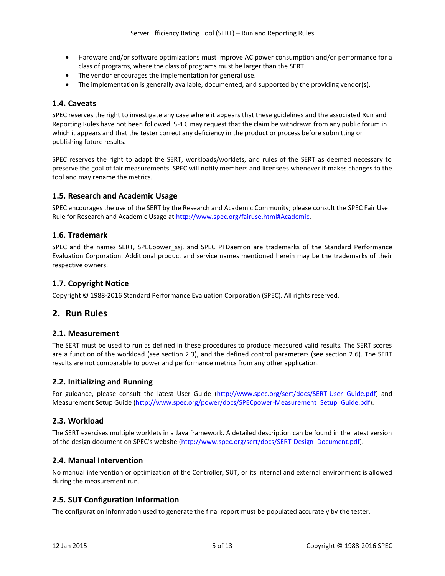- Hardware and/or software optimizations must improve AC power consumption and/or performance for a class of programs, where the class of programs must be larger than the SERT.
- The vendor encourages the implementation for general use.
- The implementation is generally available, documented, and supported by the providing vendor(s).

#### <span id="page-4-0"></span>**1.4. Caveats**

SPEC reserves the right to investigate any case where it appears that these guidelines and the associated Run and Reporting Rules have not been followed. SPEC may request that the claim be withdrawn from any public forum in which it appears and that the tester correct any deficiency in the product or process before submitting or publishing future results.

SPEC reserves the right to adapt the SERT, workloads/worklets, and rules of the SERT as deemed necessary to preserve the goal of fair measurements. SPEC will notify members and licensees whenever it makes changes to the tool and may rename the metrics.

#### <span id="page-4-1"></span>**1.5. Research and Academic Usage**

SPEC encourages the use of the SERT by the Research and Academic Community; please consult the SPEC Fair Use Rule for Research and Academic Usage at [http://www.spec.org/fairuse.html#Academic.](http://www.spec.org/fairuse.html#Academic)

#### <span id="page-4-2"></span>**1.6. Trademark**

SPEC and the names SERT, SPECpower ssj, and SPEC PTDaemon are trademarks of the Standard Performance Evaluation Corporation. Additional product and service names mentioned herein may be the trademarks of their respective owners.

# <span id="page-4-3"></span>**1.7. Copyright Notice**

Copyright © 1988-2016 Standard Performance Evaluation Corporation (SPEC). All rights reserved.

# <span id="page-4-4"></span>**2. Run Rules**

#### <span id="page-4-5"></span>**2.1. Measurement**

The SERT must be used to run as defined in these procedures to produce measured valid results. The SERT scores are a function of the workload (see section [2.3\)](#page-4-7), and the defined control parameters (see section [2.6\)](#page-5-0). The SERT results are not comparable to power and performance metrics from any other application.

#### <span id="page-4-6"></span>**2.2. Initializing and Running**

For guidance, please consult the latest User Guide (http://www.spec.org/sert/docs/SERT-User Guide.pdf) and Measurement Setup Guide (http://www.spec.org/power/docs/SPECpower-Measurement Setup Guide.pdf).

#### <span id="page-4-7"></span>**2.3. Workload**

The SERT exercises multiple worklets in a Java framework. A detailed description can be found in the latest version of the design document on SPEC's website [\(http://www.spec.org/sert/docs/SERT-Design\\_Document.pdf\)](http://www.spec.org/sert/docs/SERT-Design_Document.pdf).

# <span id="page-4-8"></span>**2.4. Manual Intervention**

No manual intervention or optimization of the Controller, SUT, or its internal and external environment is allowed during the measurement run.

# <span id="page-4-9"></span>**2.5. SUT Configuration Information**

The configuration information used to generate the final report must be populated accurately by the tester.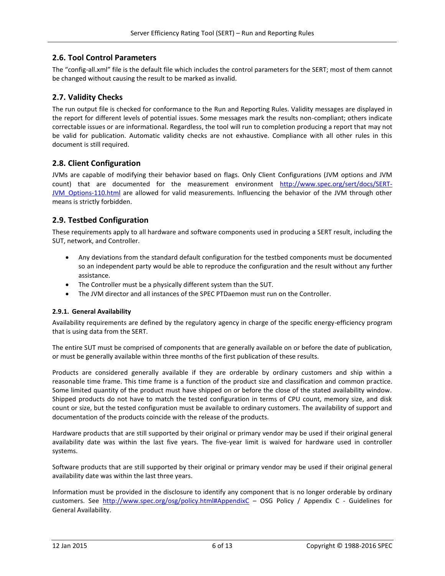# <span id="page-5-0"></span>**2.6. Tool Control Parameters**

The "config-all.xml" file is the default file which includes the control parameters for the SERT; most of them cannot be changed without causing the result to be marked as invalid.

# <span id="page-5-1"></span>**2.7. Validity Checks**

The run output file is checked for conformance to the Run and Reporting Rules. Validity messages are displayed in the report for different levels of potential issues. Some messages mark the results non-compliant; others indicate correctable issues or are informational. Regardless, the tool will run to completion producing a report that may not be valid for publication. Automatic validity checks are not exhaustive. Compliance with all other rules in this document is still required.

# <span id="page-5-2"></span>**2.8. Client Configuration**

JVMs are capable of modifying their behavior based on flags. Only Client Configurations (JVM options and JVM count) that are documented for the measurement environment [http://www.spec.org/sert/docs/SERT-](http://www.spec.org/sert/docs/SERT-JVM_Options-110.html)[JVM\\_Options-110.html](http://www.spec.org/sert/docs/SERT-JVM_Options-110.html) are allowed for valid measurements. Influencing the behavior of the JVM through other means is strictly forbidden.

# <span id="page-5-3"></span>**2.9. Testbed Configuration**

These requirements apply to all hardware and software components used in producing a SERT result, including the SUT, network, and Controller.

- Any deviations from the standard default configuration for the testbed components must be documented so an independent party would be able to reproduce the configuration and the result without any further assistance.
- The Controller must be a physically different system than the SUT.
- The JVM director and all instances of the SPEC PTDaemon must run on the Controller.

#### <span id="page-5-4"></span>**2.9.1. General Availability**

Availability requirements are defined by the regulatory agency in charge of the specific energy-efficiency program that is using data from the SERT.

The entire SUT must be comprised of components that are generally available on or before the date of publication, or must be generally available within three months of the first publication of these results.

Products are considered generally available if they are orderable by ordinary customers and ship within a reasonable time frame. This time frame is a function of the product size and classification and common practice. Some limited quantity of the product must have shipped on or before the close of the stated availability window. Shipped products do not have to match the tested configuration in terms of CPU count, memory size, and disk count or size, but the tested configuration must be available to ordinary customers. The availability of support and documentation of the products coincide with the release of the products.

Hardware products that are still supported by their original or primary vendor may be used if their original general availability date was within the last five years. The five-year limit is waived for hardware used in controller systems.

Software products that are still supported by their original or primary vendor may be used if their original general availability date was within the last three years.

Information must be provided in the disclosure to identify any component that is no longer orderable by ordinary customers. See <http://www.spec.org/osg/policy.html#AppendixC> – OSG Policy / Appendix C - Guidelines for General Availability.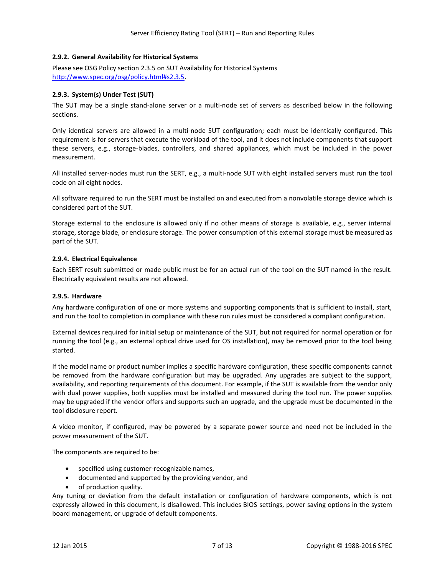#### <span id="page-6-0"></span>**2.9.2. General Availability for Historical Systems**

Please see OSG Policy section 2.3.5 on SUT Availability for Historical Systems [http://www.spec.org/osg/policy.html#s2.3.5.](http://www.spec.org/osg/policy.html#s2.3.5)

#### <span id="page-6-1"></span>**2.9.3. System(s) Under Test (SUT)**

The SUT may be a single stand-alone server or a multi-node set of servers as described below in the following sections.

Only identical servers are allowed in a multi-node SUT configuration; each must be identically configured. This requirement is for servers that execute the workload of the tool, and it does not include components that support these servers, e.g., storage-blades, controllers, and shared appliances, which must be included in the power measurement.

All installed server-nodes must run the SERT, e.g., a multi-node SUT with eight installed servers must run the tool code on all eight nodes.

All software required to run the SERT must be installed on and executed from a nonvolatile storage device which is considered part of the SUT.

Storage external to the enclosure is allowed only if no other means of storage is available, e.g., server internal storage, storage blade, or enclosure storage. The power consumption of this external storage must be measured as part of the SUT.

#### <span id="page-6-2"></span>**2.9.4. Electrical Equivalence**

Each SERT result submitted or made public must be for an actual run of the tool on the SUT named in the result. Electrically equivalent results are not allowed.

#### <span id="page-6-3"></span>**2.9.5. Hardware**

Any hardware configuration of one or more systems and supporting components that is sufficient to install, start, and run the tool to completion in compliance with these run rules must be considered a compliant configuration.

External devices required for initial setup or maintenance of the SUT, but not required for normal operation or for running the tool (e.g., an external optical drive used for OS installation), may be removed prior to the tool being started.

If the model name or product number implies a specific hardware configuration, these specific components cannot be removed from the hardware configuration but may be upgraded. Any upgrades are subject to the support, availability, and reporting requirements of this document. For example, if the SUT is available from the vendor only with dual power supplies, both supplies must be installed and measured during the tool run. The power supplies may be upgraded if the vendor offers and supports such an upgrade, and the upgrade must be documented in the tool disclosure report.

A video monitor, if configured, may be powered by a separate power source and need not be included in the power measurement of the SUT.

The components are required to be:

- specified using customer-recognizable names,
- documented and supported by the providing vendor, and
- of production quality.

Any tuning or deviation from the default installation or configuration of hardware components, which is not expressly allowed in this document, is disallowed. This includes BIOS settings, power saving options in the system board management, or upgrade of default components.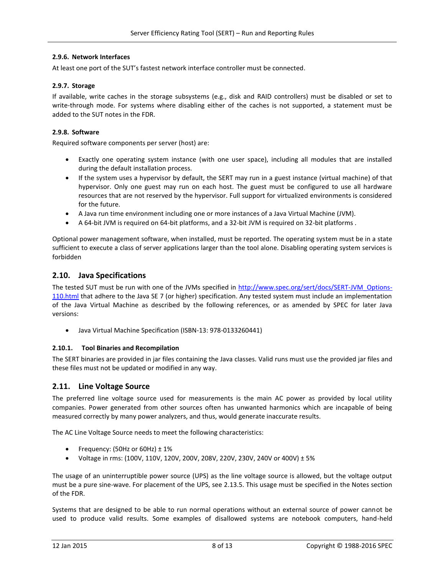#### <span id="page-7-0"></span>**2.9.6. Network Interfaces**

At least one port of the SUT's fastest network interface controller must be connected.

#### <span id="page-7-1"></span>**2.9.7. Storage**

If available, write caches in the storage subsystems (e.g., disk and RAID controllers) must be disabled or set to write-through mode. For systems where disabling either of the caches is not supported, a statement must be added to the SUT notes in the FDR.

#### <span id="page-7-2"></span>**2.9.8. Software**

Required software components per server (host) are:

- Exactly one operating system instance (with one user space), including all modules that are installed during the default installation process.
- If the system uses a hypervisor by default, the SERT may run in a guest instance (virtual machine) of that hypervisor. Only one guest may run on each host. The guest must be configured to use all hardware resources that are not reserved by the hypervisor. Full support for virtualized environments is considered for the future.
- A Java run time environment including one or more instances of a Java Virtual Machine (JVM).
- A 64-bit JVM is required on 64-bit platforms, and a 32-bit JVM is required on 32-bit platforms .

Optional power management software, when installed, must be reported. The operating system must be in a state sufficient to execute a class of server applications larger than the tool alone. Disabling operating system services is forbidden

# <span id="page-7-3"></span>**2.10. Java Specifications**

The tested SUT must be run with one of the JVMs specified in [http://www.spec.org/sert/docs/SERT-JVM\\_Options-](http://www.spec.org/sert/docs/SERT-JVM_Options-110.html)[110.html](http://www.spec.org/sert/docs/SERT-JVM_Options-110.html) that adhere to the Java SE 7 (or higher) specification. Any tested system must include an implementation of the Java Virtual Machine as described by the following references, or as amended by SPEC for later Java versions:

Java Virtual Machine Specification (ISBN-13: 978-0133260441)

#### <span id="page-7-4"></span>**2.10.1. Tool Binaries and Recompilation**

The SERT binaries are provided in jar files containing the Java classes. Valid runs must use the provided jar files and these files must not be updated or modified in any way.

# <span id="page-7-5"></span>**2.11. Line Voltage Source**

The preferred line voltage source used for measurements is the main AC power as provided by local utility companies. Power generated from other sources often has unwanted harmonics which are incapable of being measured correctly by many power analyzers, and thus, would generate inaccurate results.

The AC Line Voltage Source needs to meet the following characteristics:

- Frequency: (50Hz or 60Hz)  $\pm$  1%
- Voltage in rms: (100V, 110V, 120V, 200V, 208V, 220V, 230V, 240V or 400V) ± 5%

The usage of an uninterruptible power source (UPS) as the line voltage source is allowed, but the voltage output must be a pure sine-wave. For placement of the UPS, see [2.13.5.](#page-10-0) This usage must be specified in the Notes section of the FDR.

Systems that are designed to be able to run normal operations without an external source of power cannot be used to produce valid results. Some examples of disallowed systems are notebook computers, hand-held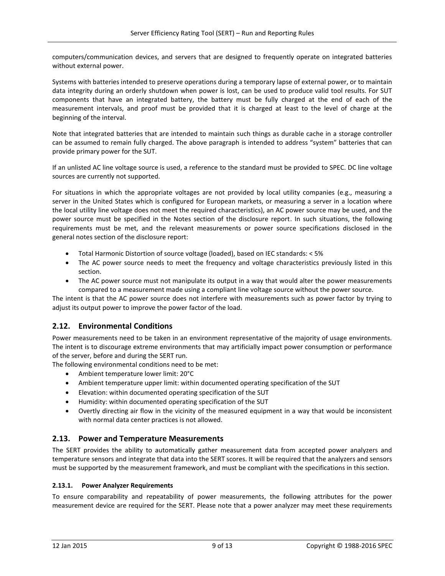computers/communication devices, and servers that are designed to frequently operate on integrated batteries without external power.

Systems with batteries intended to preserve operations during a temporary lapse of external power, or to maintain data integrity during an orderly shutdown when power is lost, can be used to produce valid tool results. For SUT components that have an integrated battery, the battery must be fully charged at the end of each of the measurement intervals, and proof must be provided that it is charged at least to the level of charge at the beginning of the interval.

Note that integrated batteries that are intended to maintain such things as durable cache in a storage controller can be assumed to remain fully charged. The above paragraph is intended to address "system" batteries that can provide primary power for the SUT.

If an unlisted AC line voltage source is used, a reference to the standard must be provided to SPEC. DC line voltage sources are currently not supported.

For situations in which the appropriate voltages are not provided by local utility companies (e.g., measuring a server in the United States which is configured for European markets, or measuring a server in a location where the local utility line voltage does not meet the required characteristics), an AC power source may be used, and the power source must be specified in the Notes section of the disclosure report. In such situations, the following requirements must be met, and the relevant measurements or power source specifications disclosed in the general notes section of the disclosure report:

- Total Harmonic Distortion of source voltage (loaded), based on IEC standards: < 5%
- The AC power source needs to meet the frequency and voltage characteristics previously listed in this section.
- The AC power source must not manipulate its output in a way that would alter the power measurements compared to a measurement made using a compliant line voltage source without the power source.

The intent is that the AC power source does not interfere with measurements such as power factor by trying to adjust its output power to improve the power factor of the load.

# <span id="page-8-0"></span>**2.12. Environmental Conditions**

Power measurements need to be taken in an environment representative of the majority of usage environments. The intent is to discourage extreme environments that may artificially impact power consumption or performance of the server, before and during the SERT run.

The following environmental conditions need to be met:

- Ambient temperature lower limit: 20°C
- Ambient temperature upper limit: within documented operating specification of the SUT
- Elevation: within documented operating specification of the SUT
- Humidity: within documented operating specification of the SUT
- Overtly directing air flow in the vicinity of the measured equipment in a way that would be inconsistent with normal data center practices is not allowed.

# <span id="page-8-1"></span>**2.13. Power and Temperature Measurements**

The SERT provides the ability to automatically gather measurement data from accepted power analyzers and temperature sensors and integrate that data into the SERT scores. It will be required that the analyzers and sensors must be supported by the measurement framework, and must be compliant with the specifications in this section.

#### <span id="page-8-2"></span>**2.13.1. Power Analyzer Requirements**

To ensure comparability and repeatability of power measurements, the following attributes for the power measurement device are required for the SERT. Please note that a power analyzer may meet these requirements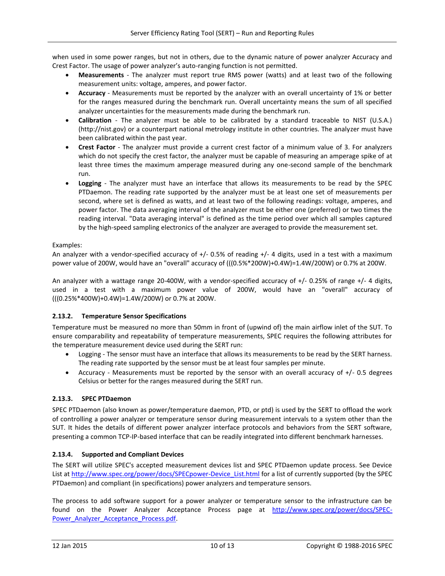when used in some power ranges, but not in others, due to the dynamic nature of power analyzer Accuracy and Crest Factor. The usage of power analyzer's auto-ranging function is not permitted.

- **Measurements** The analyzer must report true RMS power (watts) and at least two of the following measurement units: voltage, amperes, and power factor.
- **Accuracy** Measurements must be reported by the analyzer with an overall uncertainty of 1% or better for the ranges measured during the benchmark run. Overall uncertainty means the sum of all specified analyzer uncertainties for the measurements made during the benchmark run.
- **Calibration** The analyzer must be able to be calibrated by a standard traceable to NIST (U.S.A.) (http://nist.gov) or a counterpart national metrology institute in other countries. The analyzer must have been calibrated within the past year.
- **Crest Factor** The analyzer must provide a current crest factor of a minimum value of 3. For analyzers which do not specify the crest factor, the analyzer must be capable of measuring an amperage spike of at least three times the maximum amperage measured during any one-second sample of the benchmark run.
- **Logging** The analyzer must have an interface that allows its measurements to be read by the SPEC PTDaemon. The reading rate supported by the analyzer must be at least one set of measurements per second, where set is defined as watts, and at least two of the following readings: voltage, amperes, and power factor. The data averaging interval of the analyzer must be either one (preferred) or two times the reading interval. "Data averaging interval" is defined as the time period over which all samples captured by the high-speed sampling electronics of the analyzer are averaged to provide the measurement set.

#### Examples:

An analyzer with a vendor-specified accuracy of +/- 0.5% of reading +/- 4 digits, used in a test with a maximum power value of 200W, would have an "overall" accuracy of (((0.5%\*200W)+0.4W)=1.4W/200W) or 0.7% at 200W.

An analyzer with a wattage range 20-400W, with a vendor-specified accuracy of +/- 0.25% of range +/- 4 digits, used in a test with a maximum power value of 200W, would have an "overall" accuracy of (((0.25%\*400W)+0.4W)=1.4W/200W) or 0.7% at 200W.

# <span id="page-9-0"></span>**2.13.2. Temperature Sensor Specifications**

Temperature must be measured no more than 50mm in front of (upwind of) the main airflow inlet of the SUT. To ensure comparability and repeatability of temperature measurements, SPEC requires the following attributes for the temperature measurement device used during the SERT run:

- Logging The sensor must have an interface that allows its measurements to be read by the SERT harness. The reading rate supported by the sensor must be at least four samples per minute.
- Accuracy Measurements must be reported by the sensor with an overall accuracy of +/- 0.5 degrees Celsius or better for the ranges measured during the SERT run.

# <span id="page-9-1"></span>**2.13.3. SPEC PTDaemon**

SPEC PTDaemon (also known as power/temperature daemon, PTD, or ptd) is used by the SERT to offload the work of controlling a power analyzer or temperature sensor during measurement intervals to a system other than the SUT. It hides the details of different power analyzer interface protocols and behaviors from the SERT software, presenting a common TCP-IP-based interface that can be readily integrated into different benchmark harnesses.

#### <span id="page-9-2"></span>**2.13.4. Supported and Compliant Devices**

The SERT will utilize SPEC's accepted measurement devices list and SPEC PTDaemon update process. See Device List a[t http://www.spec.org/power/docs/SPECpower-Device\\_List.html](http://www.spec.org/power/docs/SPECpower-Device_List.html) for a list of currently supported (by the SPEC PTDaemon) and compliant (in specifications) power analyzers and temperature sensors.

The process to add software support for a power analyzer or temperature sensor to the infrastructure can be found on the Power Analyzer Acceptance Process page at [http://www.spec.org/power/docs/SPEC-](http://www.spec.org/power/docs/SPEC-Power_Analyzer_Acceptance_Process.pdf)[Power\\_Analyzer\\_Acceptance\\_Process.pdf.](http://www.spec.org/power/docs/SPEC-Power_Analyzer_Acceptance_Process.pdf)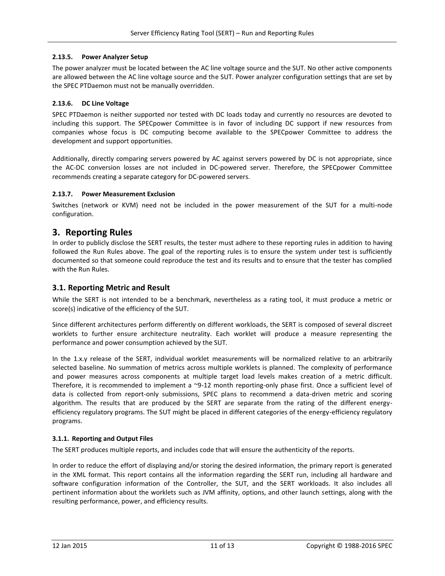#### <span id="page-10-0"></span>**2.13.5. Power Analyzer Setup**

The power analyzer must be located between the AC line voltage source and the SUT. No other active components are allowed between the AC line voltage source and the SUT. Power analyzer configuration settings that are set by the SPEC PTDaemon must not be manually overridden.

#### <span id="page-10-1"></span>**2.13.6. DC Line Voltage**

SPEC PTDaemon is neither supported nor tested with DC loads today and currently no resources are devoted to including this support. The SPECpower Committee is in favor of including DC support if new resources from companies whose focus is DC computing become available to the SPECpower Committee to address the development and support opportunities.

Additionally, directly comparing servers powered by AC against servers powered by DC is not appropriate, since the AC-DC conversion losses are not included in DC-powered server. Therefore, the SPECpower Committee recommends creating a separate category for DC-powered servers.

#### <span id="page-10-2"></span>**2.13.7. Power Measurement Exclusion**

Switches (network or KVM) need not be included in the power measurement of the SUT for a multi-node configuration.

# <span id="page-10-3"></span>**3. Reporting Rules**

In order to publicly disclose the SERT results, the tester must adhere to these reporting rules in addition to having followed the Run Rules above. The goal of the reporting rules is to ensure the system under test is sufficiently documented so that someone could reproduce the test and its results and to ensure that the tester has complied with the Run Rules.

# <span id="page-10-4"></span>**3.1. Reporting Metric and Result**

While the SERT is not intended to be a benchmark, nevertheless as a rating tool, it must produce a metric or score(s) indicative of the efficiency of the SUT.

Since different architectures perform differently on different workloads, the SERT is composed of several discreet worklets to further ensure architecture neutrality. Each worklet will produce a measure representing the performance and power consumption achieved by the SUT.

In the 1.x.y release of the SERT, individual worklet measurements will be normalized relative to an arbitrarily selected baseline. No summation of metrics across multiple worklets is planned. The complexity of performance and power measures across components at multiple target load levels makes creation of a metric difficult. Therefore, it is recommended to implement a ~9-12 month reporting-only phase first. Once a sufficient level of data is collected from report-only submissions, SPEC plans to recommend a data-driven metric and scoring algorithm. The results that are produced by the SERT are separate from the rating of the different energyefficiency regulatory programs. The SUT might be placed in different categories of the energy-efficiency regulatory programs.

#### <span id="page-10-5"></span>**3.1.1. Reporting and Output Files**

The SERT produces multiple reports, and includes code that will ensure the authenticity of the reports.

In order to reduce the effort of displaying and/or storing the desired information, the primary report is generated in the XML format. This report contains all the information regarding the SERT run, including all hardware and software configuration information of the Controller, the SUT, and the SERT workloads. It also includes all pertinent information about the worklets such as JVM affinity, options, and other launch settings, along with the resulting performance, power, and efficiency results.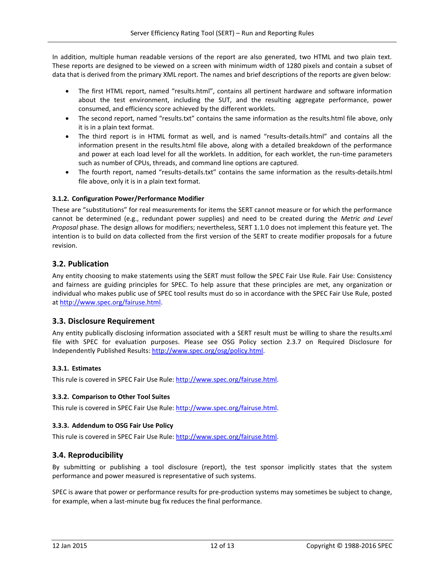In addition, multiple human readable versions of the report are also generated, two HTML and two plain text. These reports are designed to be viewed on a screen with minimum width of 1280 pixels and contain a subset of data that is derived from the primary XML report. The names and brief descriptions of the reports are given below:

- The first HTML report, named "results.html", contains all pertinent hardware and software information about the test environment, including the SUT, and the resulting aggregate performance, power consumed, and efficiency score achieved by the different worklets.
- The second report, named "results.txt" contains the same information as the results.html file above, only it is in a plain text format.
- The third report is in HTML format as well, and is named "results-details.html" and contains all the information present in the results.html file above, along with a detailed breakdown of the performance and power at each load level for all the worklets. In addition, for each worklet, the run-time parameters such as number of CPUs, threads, and command line options are captured.
- The fourth report, named "results-details.txt" contains the same information as the results-details.html file above, only it is in a plain text format.

#### <span id="page-11-0"></span>**3.1.2. Configuration Power/Performance Modifier**

These are "substitutions" for real measurements for items the SERT cannot measure or for which the performance cannot be determined (e.g., redundant power supplies) and need to be created during the *Metric and Level Proposal* phase. The design allows for modifiers; nevertheless, SERT 1.1.0 does not implement this feature yet. The intention is to build on data collected from the first version of the SERT to create modifier proposals for a future revision.

#### <span id="page-11-1"></span>**3.2. Publication**

Any entity choosing to make statements using the SERT must follow the SPEC Fair Use Rule. Fair Use: Consistency and fairness are guiding principles for SPEC. To help assure that these principles are met, any organization or individual who makes public use of SPEC tool results must do so in accordance with the SPEC Fair Use Rule, posted a[t http://www.spec.org/fairuse.html.](http://www.spec.org/fairuse.html)

#### <span id="page-11-2"></span>**3.3. Disclosure Requirement**

Any entity publically disclosing information associated with a SERT result must be willing to share the results.xml file with SPEC for evaluation purposes. Please see OSG Policy section 2.3.7 on Required Disclosure for Independently Published Results: [http://www.spec.org/osg/policy.html.](http://www.spec.org/osg/policy.html)

#### <span id="page-11-3"></span>**3.3.1. Estimates**

This rule is covered in SPEC Fair Use Rule: [http://www.spec.org/fairuse.html.](http://www.spec.org/fairuse.html)

#### <span id="page-11-4"></span>**3.3.2. Comparison to Other Tool Suites**

This rule is covered in SPEC Fair Use Rule: [http://www.spec.org/fairuse.html.](http://www.spec.org/fairuse.html)

#### <span id="page-11-5"></span>**3.3.3. Addendum to OSG Fair Use Policy**

This rule is covered in SPEC Fair Use Rule: [http://www.spec.org/fairuse.html.](http://www.spec.org/fairuse.html)

#### <span id="page-11-6"></span>**3.4. Reproducibility**

By submitting or publishing a tool disclosure (report), the test sponsor implicitly states that the system performance and power measured is representative of such systems.

SPEC is aware that power or performance results for pre-production systems may sometimes be subject to change, for example, when a last-minute bug fix reduces the final performance.